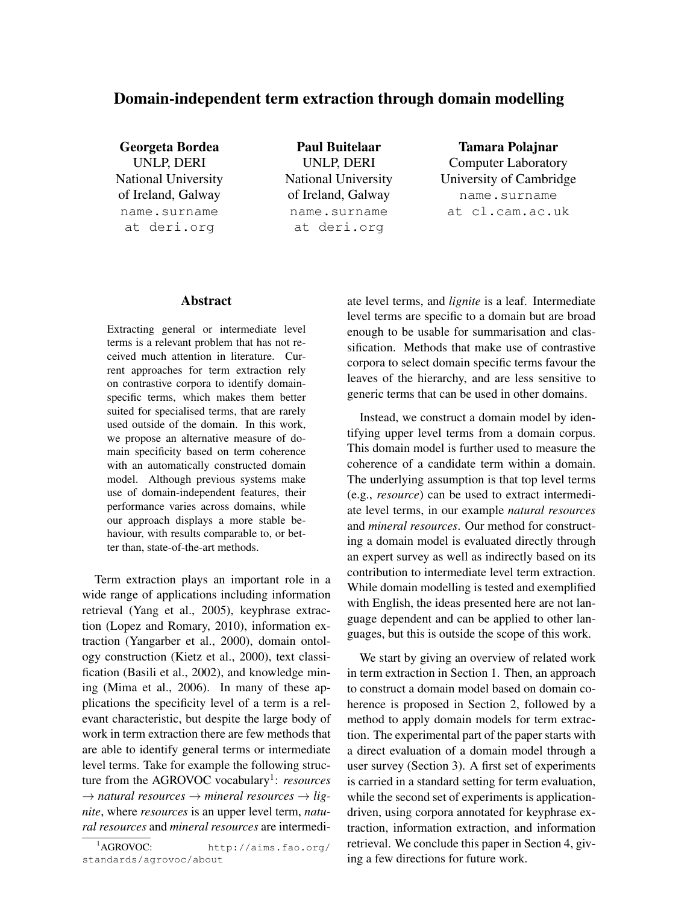# Domain-independent term extraction through domain modelling

Georgeta Bordea UNLP, DERI National University of Ireland, Galway name.surname at deri.org

Paul Buitelaar UNLP, DERI National University of Ireland, Galway name.surname at deri.org

Tamara Polajnar Computer Laboratory University of Cambridge name.surname at cl.cam.ac.uk

# Abstract

Extracting general or intermediate level terms is a relevant problem that has not received much attention in literature. Current approaches for term extraction rely on contrastive corpora to identify domainspecific terms, which makes them better suited for specialised terms, that are rarely used outside of the domain. In this work, we propose an alternative measure of domain specificity based on term coherence with an automatically constructed domain model. Although previous systems make use of domain-independent features, their performance varies across domains, while our approach displays a more stable behaviour, with results comparable to, or better than, state-of-the-art methods.

Term extraction plays an important role in a wide range of applications including information retrieval (Yang et al., 2005), keyphrase extraction (Lopez and Romary, 2010), information extraction (Yangarber et al., 2000), domain ontology construction (Kietz et al., 2000), text classification (Basili et al., 2002), and knowledge mining (Mima et al., 2006). In many of these applications the specificity level of a term is a relevant characteristic, but despite the large body of work in term extraction there are few methods that are able to identify general terms or intermediate level terms. Take for example the following structure from the AGROVOC vocabulary<sup>1</sup>: *resources*  $\rightarrow$  *natural resources*  $\rightarrow$  *mineral resources*  $\rightarrow$  *lignite*, where *resources* is an upper level term, *natural resources* and *mineral resources* are intermediate level terms, and *lignite* is a leaf. Intermediate level terms are specific to a domain but are broad enough to be usable for summarisation and classification. Methods that make use of contrastive corpora to select domain specific terms favour the leaves of the hierarchy, and are less sensitive to generic terms that can be used in other domains.

Instead, we construct a domain model by identifying upper level terms from a domain corpus. This domain model is further used to measure the coherence of a candidate term within a domain. The underlying assumption is that top level terms (e.g., *resource*) can be used to extract intermediate level terms, in our example *natural resources* and *mineral resources*. Our method for constructing a domain model is evaluated directly through an expert survey as well as indirectly based on its contribution to intermediate level term extraction. While domain modelling is tested and exemplified with English, the ideas presented here are not language dependent and can be applied to other languages, but this is outside the scope of this work.

We start by giving an overview of related work in term extraction in Section 1. Then, an approach to construct a domain model based on domain coherence is proposed in Section 2, followed by a method to apply domain models for term extraction. The experimental part of the paper starts with a direct evaluation of a domain model through a user survey (Section 3). A first set of experiments is carried in a standard setting for term evaluation, while the second set of experiments is applicationdriven, using corpora annotated for keyphrase extraction, information extraction, and information retrieval. We conclude this paper in Section 4, giving a few directions for future work.

<sup>1</sup>AGROVOC: http://aims.fao.org/ standards/agrovoc/about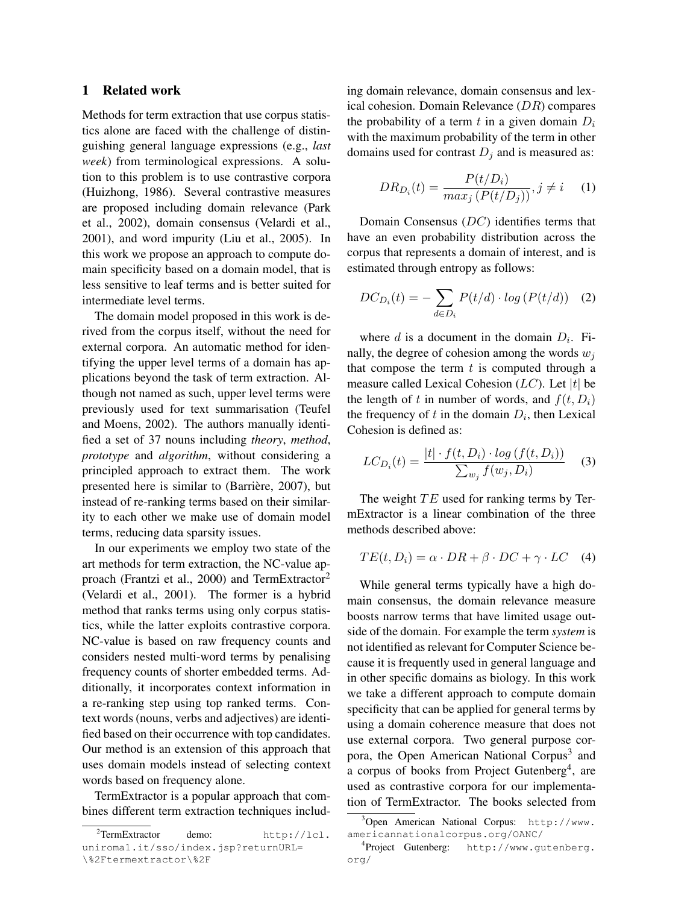# 1 Related work

Methods for term extraction that use corpus statistics alone are faced with the challenge of distinguishing general language expressions (e.g., *last week*) from terminological expressions. A solution to this problem is to use contrastive corpora (Huizhong, 1986). Several contrastive measures are proposed including domain relevance (Park et al., 2002), domain consensus (Velardi et al., 2001), and word impurity (Liu et al., 2005). In this work we propose an approach to compute domain specificity based on a domain model, that is less sensitive to leaf terms and is better suited for intermediate level terms.

The domain model proposed in this work is derived from the corpus itself, without the need for external corpora. An automatic method for identifying the upper level terms of a domain has applications beyond the task of term extraction. Although not named as such, upper level terms were previously used for text summarisation (Teufel and Moens, 2002). The authors manually identified a set of 37 nouns including *theory*, *method*, *prototype* and *algorithm*, without considering a principled approach to extract them. The work presented here is similar to (Barrière, 2007), but instead of re-ranking terms based on their similarity to each other we make use of domain model terms, reducing data sparsity issues.

In our experiments we employ two state of the art methods for term extraction, the NC-value approach (Frantzi et al., 2000) and TermExtractor<sup>2</sup> (Velardi et al., 2001). The former is a hybrid method that ranks terms using only corpus statistics, while the latter exploits contrastive corpora. NC-value is based on raw frequency counts and considers nested multi-word terms by penalising frequency counts of shorter embedded terms. Additionally, it incorporates context information in a re-ranking step using top ranked terms. Context words (nouns, verbs and adjectives) are identified based on their occurrence with top candidates. Our method is an extension of this approach that uses domain models instead of selecting context words based on frequency alone.

TermExtractor is a popular approach that combines different term extraction techniques including domain relevance, domain consensus and lexical cohesion. Domain Relevance  $(DR)$  compares the probability of a term t in a given domain  $D_i$ with the maximum probability of the term in other domains used for contrast  $D_i$  and is measured as:

$$
DR_{D_i}(t) = \frac{P(t/D_i)}{max_j (P(t/D_j))}, j \neq i \quad (1)
$$

Domain Consensus (DC) identifies terms that have an even probability distribution across the corpus that represents a domain of interest, and is estimated through entropy as follows:

$$
DC_{D_i}(t) = -\sum_{d \in D_i} P(t/d) \cdot \log \left( P(t/d) \right) \tag{2}
$$

where  $d$  is a document in the domain  $D_i$ . Finally, the degree of cohesion among the words  $w_i$ that compose the term  $t$  is computed through a measure called Lexical Cohesion  $(LC)$ . Let |t| be the length of t in number of words, and  $f(t, D<sub>i</sub>)$ the frequency of  $t$  in the domain  $D_i$ , then Lexical Cohesion is defined as:

$$
LC_{D_i}(t) = \frac{|t| \cdot f(t, D_i) \cdot \log\left(f(t, D_i)\right)}{\sum_{w_j} f(w_j, D_i)} \tag{3}
$$

The weight  $TE$  used for ranking terms by TermExtractor is a linear combination of the three methods described above:

$$
TE(t, D_i) = \alpha \cdot DR + \beta \cdot DC + \gamma \cdot LC \quad (4)
$$

While general terms typically have a high domain consensus, the domain relevance measure boosts narrow terms that have limited usage outside of the domain. For example the term *system* is not identified as relevant for Computer Science because it is frequently used in general language and in other specific domains as biology. In this work we take a different approach to compute domain specificity that can be applied for general terms by using a domain coherence measure that does not use external corpora. Two general purpose corpora, the Open American National Corpus<sup>3</sup> and a corpus of books from Project Gutenberg<sup>4</sup>, are used as contrastive corpora for our implementation of TermExtractor. The books selected from

<sup>&</sup>lt;sup>2</sup>TermExtractor demo: http://lcl. uniroma1.it/sso/index.jsp?returnURL= \%2Ftermextractor\%2F

<sup>3</sup>Open American National Corpus: http://www. americannationalcorpus.org/OANC/

<sup>4</sup> Project Gutenberg: http://www.gutenberg. org/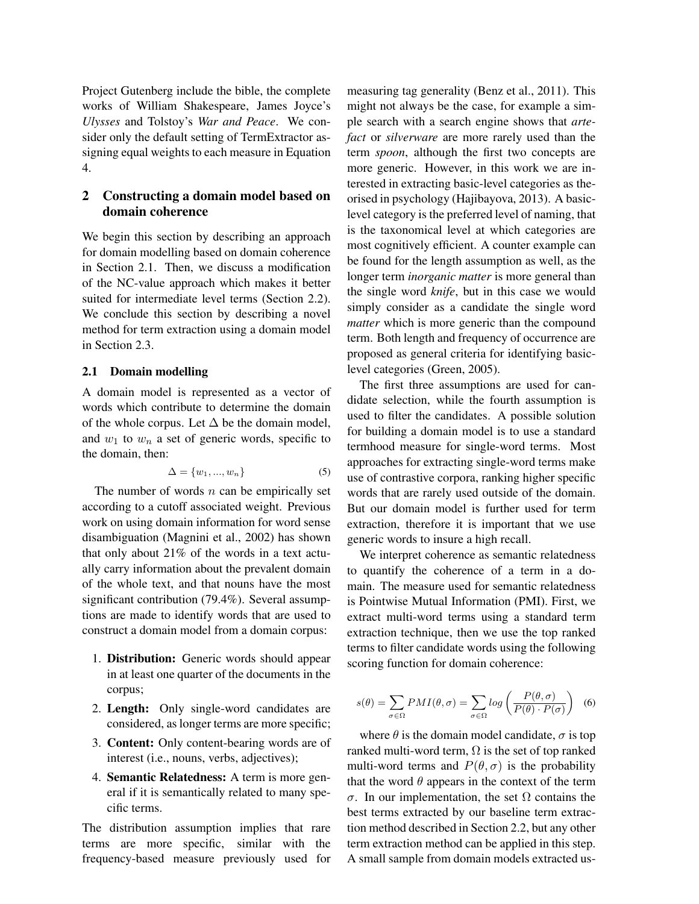Project Gutenberg include the bible, the complete works of William Shakespeare, James Joyce's *Ulysses* and Tolstoy's *War and Peace*. We consider only the default setting of TermExtractor assigning equal weights to each measure in Equation 4.

# 2 Constructing a domain model based on domain coherence

We begin this section by describing an approach for domain modelling based on domain coherence in Section 2.1. Then, we discuss a modification of the NC-value approach which makes it better suited for intermediate level terms (Section 2.2). We conclude this section by describing a novel method for term extraction using a domain model in Section 2.3.

## 2.1 Domain modelling

A domain model is represented as a vector of words which contribute to determine the domain of the whole corpus. Let  $\Delta$  be the domain model, and  $w_1$  to  $w_n$  a set of generic words, specific to the domain, then:

$$
\Delta = \{w_1, \ldots, w_n\} \tag{5}
$$

The number of words  $n$  can be empirically set according to a cutoff associated weight. Previous work on using domain information for word sense disambiguation (Magnini et al., 2002) has shown that only about 21% of the words in a text actually carry information about the prevalent domain of the whole text, and that nouns have the most significant contribution (79.4%). Several assumptions are made to identify words that are used to construct a domain model from a domain corpus:

- 1. Distribution: Generic words should appear in at least one quarter of the documents in the corpus;
- 2. Length: Only single-word candidates are considered, as longer terms are more specific;
- 3. Content: Only content-bearing words are of interest (i.e., nouns, verbs, adjectives);
- 4. Semantic Relatedness: A term is more general if it is semantically related to many specific terms.

The distribution assumption implies that rare terms are more specific, similar with the frequency-based measure previously used for

measuring tag generality (Benz et al., 2011). This might not always be the case, for example a simple search with a search engine shows that *artefact* or *silverware* are more rarely used than the term *spoon*, although the first two concepts are more generic. However, in this work we are interested in extracting basic-level categories as theorised in psychology (Hajibayova, 2013). A basiclevel category is the preferred level of naming, that is the taxonomical level at which categories are most cognitively efficient. A counter example can be found for the length assumption as well, as the longer term *inorganic matter* is more general than the single word *knife*, but in this case we would simply consider as a candidate the single word *matter* which is more generic than the compound term. Both length and frequency of occurrence are proposed as general criteria for identifying basiclevel categories (Green, 2005).

The first three assumptions are used for candidate selection, while the fourth assumption is used to filter the candidates. A possible solution for building a domain model is to use a standard termhood measure for single-word terms. Most approaches for extracting single-word terms make use of contrastive corpora, ranking higher specific words that are rarely used outside of the domain. But our domain model is further used for term extraction, therefore it is important that we use generic words to insure a high recall.

We interpret coherence as semantic relatedness to quantify the coherence of a term in a domain. The measure used for semantic relatedness is Pointwise Mutual Information (PMI). First, we extract multi-word terms using a standard term extraction technique, then we use the top ranked terms to filter candidate words using the following scoring function for domain coherence:

$$
s(\theta) = \sum_{\sigma \in \Omega} PMI(\theta, \sigma) = \sum_{\sigma \in \Omega} \log \left( \frac{P(\theta, \sigma)}{P(\theta) \cdot P(\sigma)} \right) \tag{6}
$$

where  $\theta$  is the domain model candidate,  $\sigma$  is top ranked multi-word term,  $\Omega$  is the set of top ranked multi-word terms and  $P(\theta, \sigma)$  is the probability that the word  $\theta$  appears in the context of the term σ. In our implementation, the set Ω contains the best terms extracted by our baseline term extraction method described in Section 2.2, but any other term extraction method can be applied in this step. A small sample from domain models extracted us-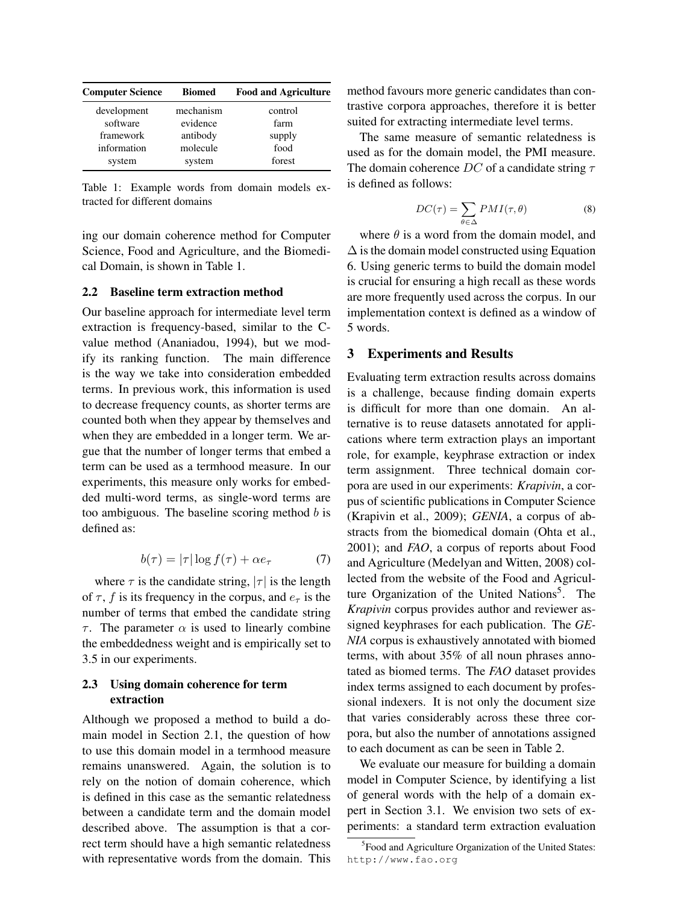| <b>Computer Science</b> | <b>Biomed</b> | <b>Food and Agriculture</b> |
|-------------------------|---------------|-----------------------------|
| development             | mechanism     | control                     |
| software                | evidence      | farm                        |
| framework               | antibody      | supply                      |
| information             | molecule      | food                        |
| system                  | system        | forest                      |

Table 1: Example words from domain models extracted for different domains

ing our domain coherence method for Computer Science, Food and Agriculture, and the Biomedical Domain, is shown in Table 1.

#### 2.2 Baseline term extraction method

Our baseline approach for intermediate level term extraction is frequency-based, similar to the Cvalue method (Ananiadou, 1994), but we modify its ranking function. The main difference is the way we take into consideration embedded terms. In previous work, this information is used to decrease frequency counts, as shorter terms are counted both when they appear by themselves and when they are embedded in a longer term. We argue that the number of longer terms that embed a term can be used as a termhood measure. In our experiments, this measure only works for embedded multi-word terms, as single-word terms are too ambiguous. The baseline scoring method  $b$  is defined as:

$$
b(\tau) = |\tau| \log f(\tau) + \alpha e_{\tau} \tag{7}
$$

where  $\tau$  is the candidate string,  $|\tau|$  is the length of  $\tau$ , f is its frequency in the corpus, and  $e_{\tau}$  is the number of terms that embed the candidate string τ. The parameter  $\alpha$  is used to linearly combine the embeddedness weight and is empirically set to 3.5 in our experiments.

# 2.3 Using domain coherence for term extraction

Although we proposed a method to build a domain model in Section 2.1, the question of how to use this domain model in a termhood measure remains unanswered. Again, the solution is to rely on the notion of domain coherence, which is defined in this case as the semantic relatedness between a candidate term and the domain model described above. The assumption is that a correct term should have a high semantic relatedness with representative words from the domain. This

method favours more generic candidates than contrastive corpora approaches, therefore it is better suited for extracting intermediate level terms.

The same measure of semantic relatedness is used as for the domain model, the PMI measure. The domain coherence  $DC$  of a candidate string  $\tau$ is defined as follows:

$$
DC(\tau) = \sum_{\theta \in \Delta} PMI(\tau, \theta)
$$
 (8)

where  $\theta$  is a word from the domain model, and  $\Delta$  is the domain model constructed using Equation 6. Using generic terms to build the domain model is crucial for ensuring a high recall as these words are more frequently used across the corpus. In our implementation context is defined as a window of 5 words.

## 3 Experiments and Results

Evaluating term extraction results across domains is a challenge, because finding domain experts is difficult for more than one domain. An alternative is to reuse datasets annotated for applications where term extraction plays an important role, for example, keyphrase extraction or index term assignment. Three technical domain corpora are used in our experiments: *Krapivin*, a corpus of scientific publications in Computer Science (Krapivin et al., 2009); *GENIA*, a corpus of abstracts from the biomedical domain (Ohta et al., 2001); and *FAO*, a corpus of reports about Food and Agriculture (Medelyan and Witten, 2008) collected from the website of the Food and Agriculture Organization of the United Nations<sup>5</sup>. The *Krapivin* corpus provides author and reviewer assigned keyphrases for each publication. The *GE-NIA* corpus is exhaustively annotated with biomed terms, with about 35% of all noun phrases annotated as biomed terms. The *FAO* dataset provides index terms assigned to each document by professional indexers. It is not only the document size that varies considerably across these three corpora, but also the number of annotations assigned to each document as can be seen in Table 2.

We evaluate our measure for building a domain model in Computer Science, by identifying a list of general words with the help of a domain expert in Section 3.1. We envision two sets of experiments: a standard term extraction evaluation

<sup>&</sup>lt;sup>5</sup> Food and Agriculture Organization of the United States: http://www.fao.org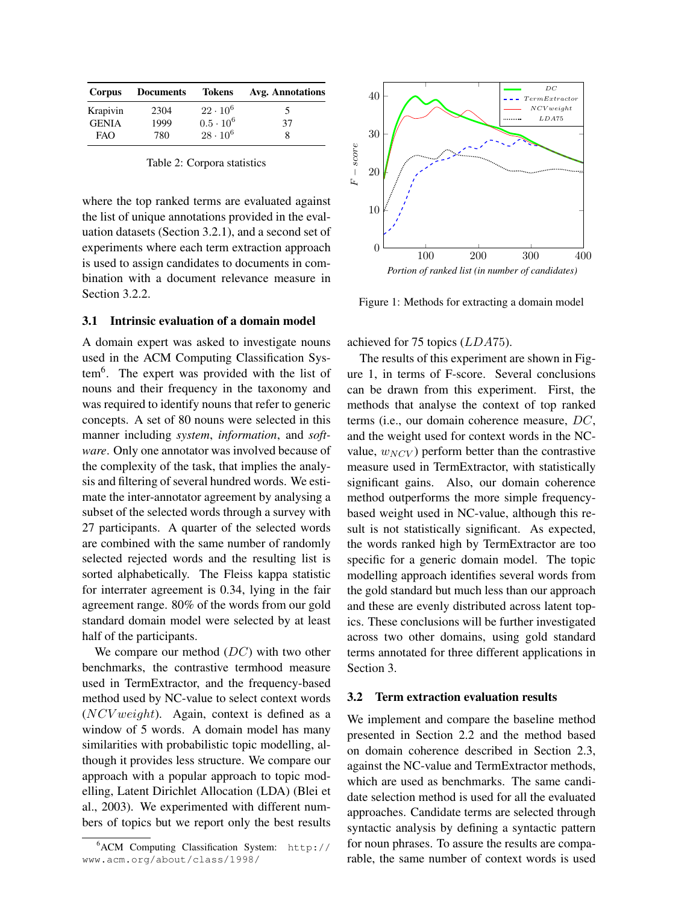| Corpus       | <b>Documents</b> | <b>Tokens</b>    | <b>Avg. Annotations</b> |
|--------------|------------------|------------------|-------------------------|
| Krapivin     | 2304             | $22 \cdot 10^6$  | 5                       |
| <b>GENIA</b> | 1999             | $0.5 \cdot 10^6$ | 37                      |
| FAO          | 780              | $28 \cdot 10^6$  | 8                       |

Table 2: Corpora statistics

where the top ranked terms are evaluated against the list of unique annotations provided in the evaluation datasets (Section 3.2.1), and a second set of experiments where each term extraction approach is used to assign candidates to documents in combination with a document relevance measure in Section 3.2.2.

# 3.1 Intrinsic evaluation of a domain model

A domain expert was asked to investigate nouns used in the ACM Computing Classification System<sup>6</sup> . The expert was provided with the list of nouns and their frequency in the taxonomy and was required to identify nouns that refer to generic concepts. A set of 80 nouns were selected in this manner including *system*, *information*, and *software*. Only one annotator was involved because of the complexity of the task, that implies the analysis and filtering of several hundred words. We estimate the inter-annotator agreement by analysing a subset of the selected words through a survey with 27 participants. A quarter of the selected words are combined with the same number of randomly selected rejected words and the resulting list is sorted alphabetically. The Fleiss kappa statistic for interrater agreement is 0.34, lying in the fair agreement range. 80% of the words from our gold standard domain model were selected by at least half of the participants.

We compare our method  $(DC)$  with two other benchmarks, the contrastive termhood measure used in TermExtractor, and the frequency-based method used by NC-value to select context words  $(NCV weight)$ . Again, context is defined as a window of 5 words. A domain model has many similarities with probabilistic topic modelling, although it provides less structure. We compare our approach with a popular approach to topic modelling, Latent Dirichlet Allocation (LDA) (Blei et al., 2003). We experimented with different numbers of topics but we report only the best results



Figure 1: Methods for extracting a domain model

achieved for 75 topics (LDA75).

The results of this experiment are shown in Figure 1, in terms of F-score. Several conclusions can be drawn from this experiment. First, the methods that analyse the context of top ranked terms (i.e., our domain coherence measure, DC, and the weight used for context words in the NCvalue,  $w_{\text{NCV}}$ ) perform better than the contrastive measure used in TermExtractor, with statistically significant gains. Also, our domain coherence method outperforms the more simple frequencybased weight used in NC-value, although this result is not statistically significant. As expected, the words ranked high by TermExtractor are too specific for a generic domain model. The topic modelling approach identifies several words from the gold standard but much less than our approach and these are evenly distributed across latent topics. These conclusions will be further investigated across two other domains, using gold standard terms annotated for three different applications in Section 3.

### 3.2 Term extraction evaluation results

We implement and compare the baseline method presented in Section 2.2 and the method based on domain coherence described in Section 2.3, against the NC-value and TermExtractor methods, which are used as benchmarks. The same candidate selection method is used for all the evaluated approaches. Candidate terms are selected through syntactic analysis by defining a syntactic pattern for noun phrases. To assure the results are comparable, the same number of context words is used

<sup>6</sup>ACM Computing Classification System: http:// www.acm.org/about/class/1998/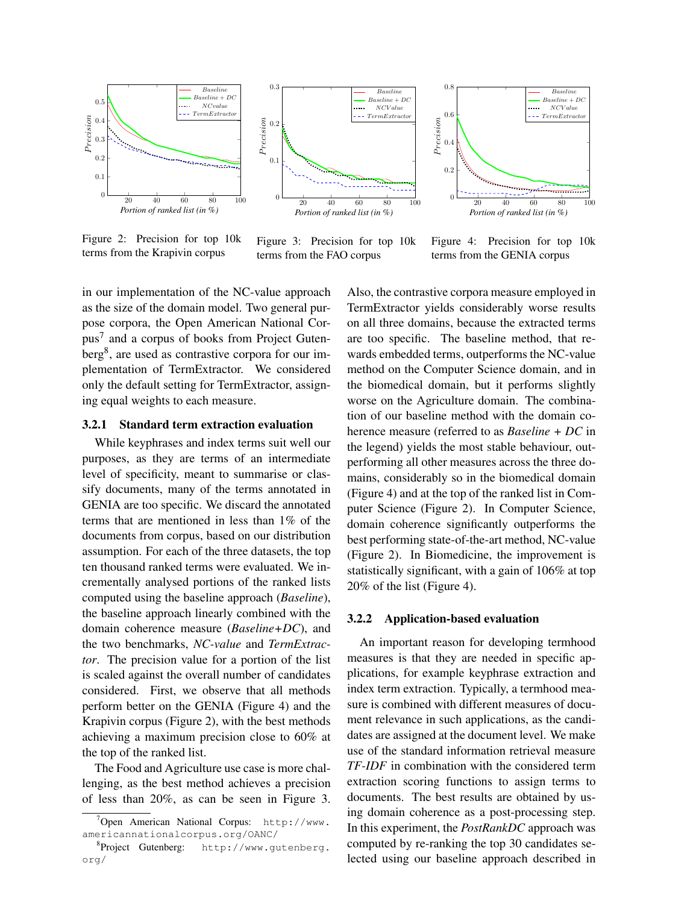

Figure 2: Precision for top 10k terms from the Krapivin corpus



Figure 3: Precision for top 10k terms from the FAO corpus



Figure 4: Precision for top 10k terms from the GENIA corpus

in our implementation of the NC-value approach as the size of the domain model. Two general purpose corpora, the Open American National Corpus<sup>7</sup> and a corpus of books from Project Gutenberg<sup>8</sup>, are used as contrastive corpora for our implementation of TermExtractor. We considered only the default setting for TermExtractor, assigning equal weights to each measure.

#### 3.2.1 Standard term extraction evaluation

While keyphrases and index terms suit well our purposes, as they are terms of an intermediate level of specificity, meant to summarise or classify documents, many of the terms annotated in GENIA are too specific. We discard the annotated terms that are mentioned in less than 1% of the documents from corpus, based on our distribution assumption. For each of the three datasets, the top ten thousand ranked terms were evaluated. We incrementally analysed portions of the ranked lists computed using the baseline approach (*Baseline*), the baseline approach linearly combined with the domain coherence measure (*Baseline+DC*), and the two benchmarks, *NC-value* and *TermExtractor*. The precision value for a portion of the list is scaled against the overall number of candidates considered. First, we observe that all methods perform better on the GENIA (Figure 4) and the Krapivin corpus (Figure 2), with the best methods achieving a maximum precision close to 60% at the top of the ranked list.

The Food and Agriculture use case is more challenging, as the best method achieves a precision of less than 20%, as can be seen in Figure 3. Also, the contrastive corpora measure employed in TermExtractor yields considerably worse results on all three domains, because the extracted terms are too specific. The baseline method, that rewards embedded terms, outperforms the NC-value method on the Computer Science domain, and in the biomedical domain, but it performs slightly worse on the Agriculture domain. The combination of our baseline method with the domain coherence measure (referred to as *Baseline + DC* in the legend) yields the most stable behaviour, outperforming all other measures across the three domains, considerably so in the biomedical domain (Figure 4) and at the top of the ranked list in Computer Science (Figure 2). In Computer Science, domain coherence significantly outperforms the best performing state-of-the-art method, NC-value (Figure 2). In Biomedicine, the improvement is statistically significant, with a gain of 106% at top 20% of the list (Figure 4).

#### 3.2.2 Application-based evaluation

An important reason for developing termhood measures is that they are needed in specific applications, for example keyphrase extraction and index term extraction. Typically, a termhood measure is combined with different measures of document relevance in such applications, as the candidates are assigned at the document level. We make use of the standard information retrieval measure *TF-IDF* in combination with the considered term extraction scoring functions to assign terms to documents. The best results are obtained by using domain coherence as a post-processing step. In this experiment, the *PostRankDC* approach was computed by re-ranking the top 30 candidates selected using our baseline approach described in

<sup>7</sup>Open American National Corpus: http://www. americannationalcorpus.org/OANC/

<sup>8</sup> Project Gutenberg: http://www.gutenberg. org/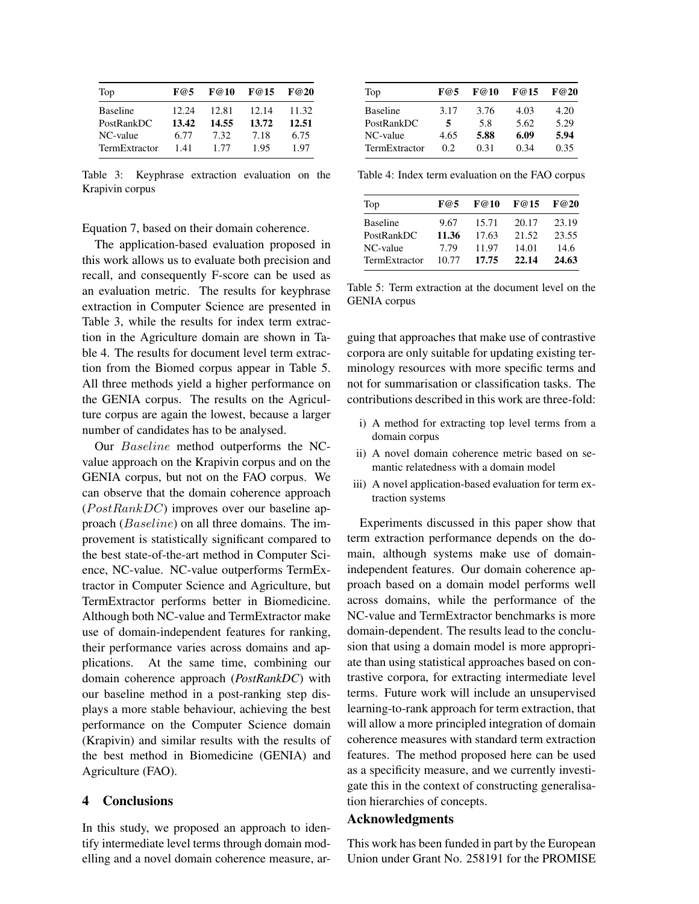| Top             | F@5   | F@10  | F@15  | F@20  |
|-----------------|-------|-------|-------|-------|
| <b>Baseline</b> | 12.24 | 12.81 | 12.14 | 11.32 |
| PostRankDC      | 13.42 | 14.55 | 13.72 | 12.51 |
| NC-value        | 6.77  | 7.32  | 7.18  | 6.75  |
| TermExtractor   | 1.41  | 1.77  | 1.95  | 1.97  |

Table 3: Keyphrase extraction evaluation on the Krapivin corpus

Equation 7, based on their domain coherence.

The application-based evaluation proposed in this work allows us to evaluate both precision and recall, and consequently F-score can be used as an evaluation metric. The results for keyphrase extraction in Computer Science are presented in Table 3, while the results for index term extraction in the Agriculture domain are shown in Table 4. The results for document level term extraction from the Biomed corpus appear in Table 5. All three methods yield a higher performance on the GENIA corpus. The results on the Agriculture corpus are again the lowest, because a larger number of candidates has to be analysed.

Our Baseline method outperforms the NCvalue approach on the Krapivin corpus and on the GENIA corpus, but not on the FAO corpus. We can observe that the domain coherence approach  $(PostRankDC)$  improves over our baseline approach (Baseline) on all three domains. The improvement is statistically significant compared to the best state-of-the-art method in Computer Science, NC-value. NC-value outperforms TermExtractor in Computer Science and Agriculture, but TermExtractor performs better in Biomedicine. Although both NC-value and TermExtractor make use of domain-independent features for ranking, their performance varies across domains and applications. At the same time, combining our domain coherence approach (*PostRankDC*) with our baseline method in a post-ranking step displays a more stable behaviour, achieving the best performance on the Computer Science domain (Krapivin) and similar results with the results of the best method in Biomedicine (GENIA) and Agriculture (FAO).

## 4 Conclusions

In this study, we proposed an approach to identify intermediate level terms through domain modelling and a novel domain coherence measure, ar-

| Top             | F@5  | F@10 | F@15 | F@20 |
|-----------------|------|------|------|------|
| <b>Baseline</b> | 3.17 | 3.76 | 4.03 | 4.20 |
| PostRankDC      | 5    | 5.8  | 5.62 | 5.29 |
| NC-value        | 4.65 | 5.88 | 6.09 | 5.94 |
| TermExtractor   | 02   | 0.31 | 0.34 | 0.35 |

Table 4: Index term evaluation on the FAO corpus

| Top             | F@5   | F@10  | F@15  | F@20  |
|-----------------|-------|-------|-------|-------|
| <b>Baseline</b> | 9.67  | 15.71 | 20.17 | 23.19 |
| PostRankDC      | 11.36 | 17.63 | 21.52 | 23.55 |
| NC-value        | 7.79  | 11.97 | 14.01 | 14.6  |
| TermExtractor   | 10.77 | 17.75 | 22.14 | 24.63 |

Table 5: Term extraction at the document level on the GENIA corpus

guing that approaches that make use of contrastive corpora are only suitable for updating existing terminology resources with more specific terms and not for summarisation or classification tasks. The contributions described in this work are three-fold:

- i) A method for extracting top level terms from a domain corpus
- ii) A novel domain coherence metric based on semantic relatedness with a domain model
- iii) A novel application-based evaluation for term extraction systems

Experiments discussed in this paper show that term extraction performance depends on the domain, although systems make use of domainindependent features. Our domain coherence approach based on a domain model performs well across domains, while the performance of the NC-value and TermExtractor benchmarks is more domain-dependent. The results lead to the conclusion that using a domain model is more appropriate than using statistical approaches based on contrastive corpora, for extracting intermediate level terms. Future work will include an unsupervised learning-to-rank approach for term extraction, that will allow a more principled integration of domain coherence measures with standard term extraction features. The method proposed here can be used as a specificity measure, and we currently investigate this in the context of constructing generalisation hierarchies of concepts.

# Acknowledgments

This work has been funded in part by the European Union under Grant No. 258191 for the PROMISE